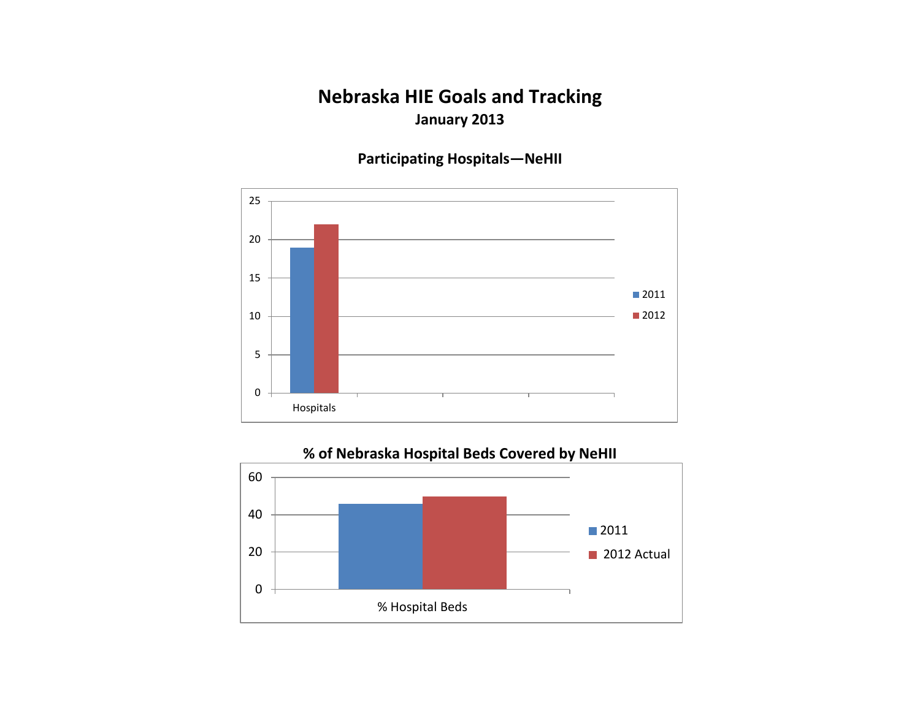## **Nebraska HIE Goals and Tracking January 2013**

**Participating Hospitals—NeHII**



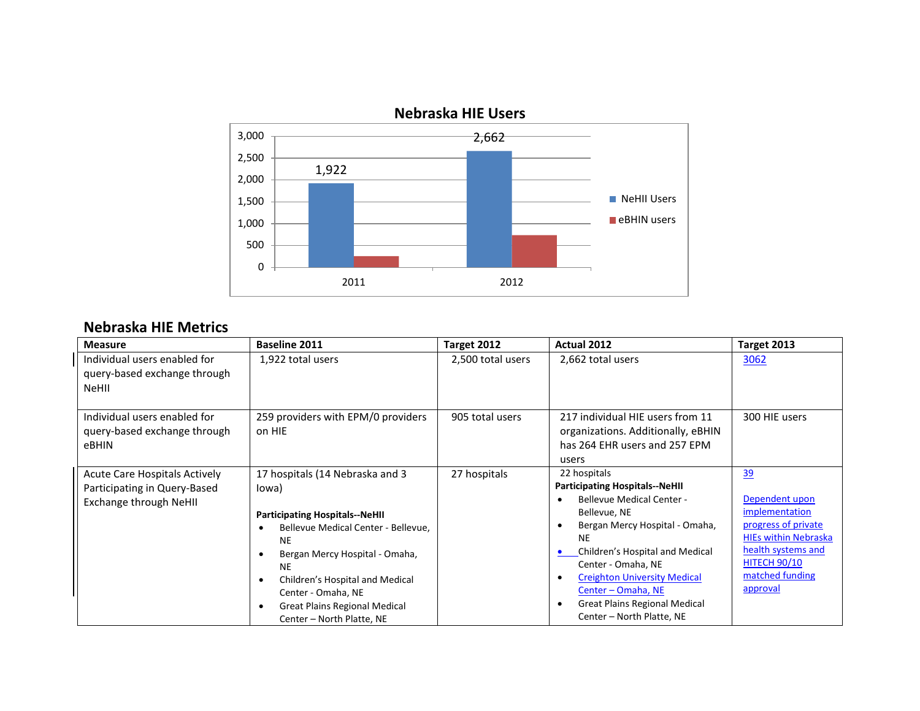

# **Nebraska HIE Users**

#### **Nebraska HIE Metrics**

| <b>Measure</b>                                                                                 | <b>Baseline 2011</b>                                                                                                                                                                                                                                                                                               | Target 2012       | Actual 2012                                                                                                                                                                                                                                                                                                                                         | Target 2013                                                                                                                                                              |
|------------------------------------------------------------------------------------------------|--------------------------------------------------------------------------------------------------------------------------------------------------------------------------------------------------------------------------------------------------------------------------------------------------------------------|-------------------|-----------------------------------------------------------------------------------------------------------------------------------------------------------------------------------------------------------------------------------------------------------------------------------------------------------------------------------------------------|--------------------------------------------------------------------------------------------------------------------------------------------------------------------------|
| Individual users enabled for<br>query-based exchange through<br><b>NeHII</b>                   | 1,922 total users                                                                                                                                                                                                                                                                                                  | 2,500 total users | 2,662 total users                                                                                                                                                                                                                                                                                                                                   | 3062                                                                                                                                                                     |
| Individual users enabled for<br>query-based exchange through<br>eBHIN                          | 259 providers with EPM/0 providers<br>on HIE                                                                                                                                                                                                                                                                       | 905 total users   | 217 individual HIE users from 11<br>organizations. Additionally, eBHIN<br>has 264 EHR users and 257 EPM<br>users                                                                                                                                                                                                                                    | 300 HIE users                                                                                                                                                            |
| <b>Acute Care Hospitals Actively</b><br>Participating in Query-Based<br>Exchange through NeHII | 17 hospitals (14 Nebraska and 3<br>lowa)<br><b>Participating Hospitals--NeHII</b><br>Bellevue Medical Center - Bellevue,<br><b>NE</b><br>Bergan Mercy Hospital - Omaha,<br><b>NE</b><br>Children's Hospital and Medical<br>Center - Omaha, NE<br><b>Great Plains Regional Medical</b><br>Center - North Platte, NE | 27 hospitals      | 22 hospitals<br><b>Participating Hospitals--NeHII</b><br><b>Bellevue Medical Center -</b><br>Bellevue, NE<br>Bergan Mercy Hospital - Omaha,<br><b>NE</b><br>Children's Hospital and Medical<br>Center - Omaha, NE<br><b>Creighton University Medical</b><br>Center - Omaha, NE<br><b>Great Plains Regional Medical</b><br>Center - North Platte, NE | 39<br>Dependent upon<br>implementation<br>progress of private<br><b>HIEs within Nebraska</b><br>health systems and<br><b>HITECH 90/10</b><br>matched funding<br>approval |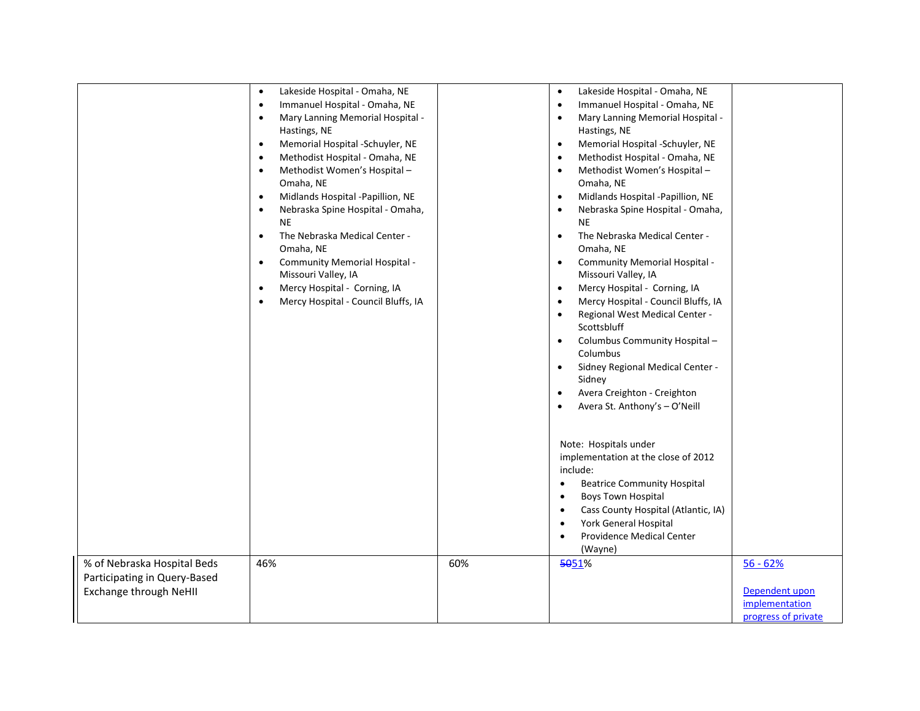|                                                                                       | Lakeside Hospital - Omaha, NE<br>$\bullet$<br>Immanuel Hospital - Omaha, NE<br>$\bullet$<br>Mary Lanning Memorial Hospital -<br>$\bullet$<br>Hastings, NE<br>Memorial Hospital -Schuyler, NE<br>$\bullet$<br>Methodist Hospital - Omaha, NE<br>$\bullet$<br>Methodist Women's Hospital -<br>$\bullet$<br>Omaha, NE<br>Midlands Hospital -Papillion, NE<br>$\bullet$<br>Nebraska Spine Hospital - Omaha,<br>$\bullet$<br><b>NE</b><br>The Nebraska Medical Center -<br>$\bullet$<br>Omaha, NE<br>Community Memorial Hospital -<br>$\bullet$<br>Missouri Valley, IA<br>Mercy Hospital - Corning, IA<br>$\bullet$<br>Mercy Hospital - Council Bluffs, IA<br>$\bullet$ |     | Lakeside Hospital - Omaha, NE<br>Immanuel Hospital - Omaha, NE<br>$\bullet$<br>Mary Lanning Memorial Hospital -<br>$\bullet$<br>Hastings, NE<br>Memorial Hospital -Schuyler, NE<br>Methodist Hospital - Omaha, NE<br>Methodist Women's Hospital -<br>Omaha, NE<br>Midlands Hospital -Papillion, NE<br>Nebraska Spine Hospital - Omaha,<br><b>NE</b><br>The Nebraska Medical Center -<br>$\bullet$<br>Omaha, NE<br>Community Memorial Hospital -<br>$\bullet$<br>Missouri Valley, IA<br>Mercy Hospital - Corning, IA<br>$\bullet$<br>Mercy Hospital - Council Bluffs, IA<br>Regional West Medical Center -<br>Scottsbluff<br>Columbus Community Hospital-<br>Columbus<br>Sidney Regional Medical Center -<br>$\bullet$<br>Sidney<br>Avera Creighton - Creighton<br>Avera St. Anthony's - O'Neill<br>Note: Hospitals under<br>implementation at the close of 2012<br>include:<br><b>Beatrice Community Hospital</b><br>$\bullet$<br><b>Boys Town Hospital</b><br>$\bullet$<br>Cass County Hospital (Atlantic, IA)<br>York General Hospital<br>Providence Medical Center<br>(Wayne) |                                                                       |
|---------------------------------------------------------------------------------------|--------------------------------------------------------------------------------------------------------------------------------------------------------------------------------------------------------------------------------------------------------------------------------------------------------------------------------------------------------------------------------------------------------------------------------------------------------------------------------------------------------------------------------------------------------------------------------------------------------------------------------------------------------------------|-----|----------------------------------------------------------------------------------------------------------------------------------------------------------------------------------------------------------------------------------------------------------------------------------------------------------------------------------------------------------------------------------------------------------------------------------------------------------------------------------------------------------------------------------------------------------------------------------------------------------------------------------------------------------------------------------------------------------------------------------------------------------------------------------------------------------------------------------------------------------------------------------------------------------------------------------------------------------------------------------------------------------------------------------------------------------------------------------|-----------------------------------------------------------------------|
| % of Nebraska Hospital Beds<br>Participating in Query-Based<br>Exchange through NeHII | 46%                                                                                                                                                                                                                                                                                                                                                                                                                                                                                                                                                                                                                                                                | 60% | 5051%                                                                                                                                                                                                                                                                                                                                                                                                                                                                                                                                                                                                                                                                                                                                                                                                                                                                                                                                                                                                                                                                            | $56 - 62%$<br>Dependent upon<br>implementation<br>progress of private |
|                                                                                       |                                                                                                                                                                                                                                                                                                                                                                                                                                                                                                                                                                                                                                                                    |     |                                                                                                                                                                                                                                                                                                                                                                                                                                                                                                                                                                                                                                                                                                                                                                                                                                                                                                                                                                                                                                                                                  |                                                                       |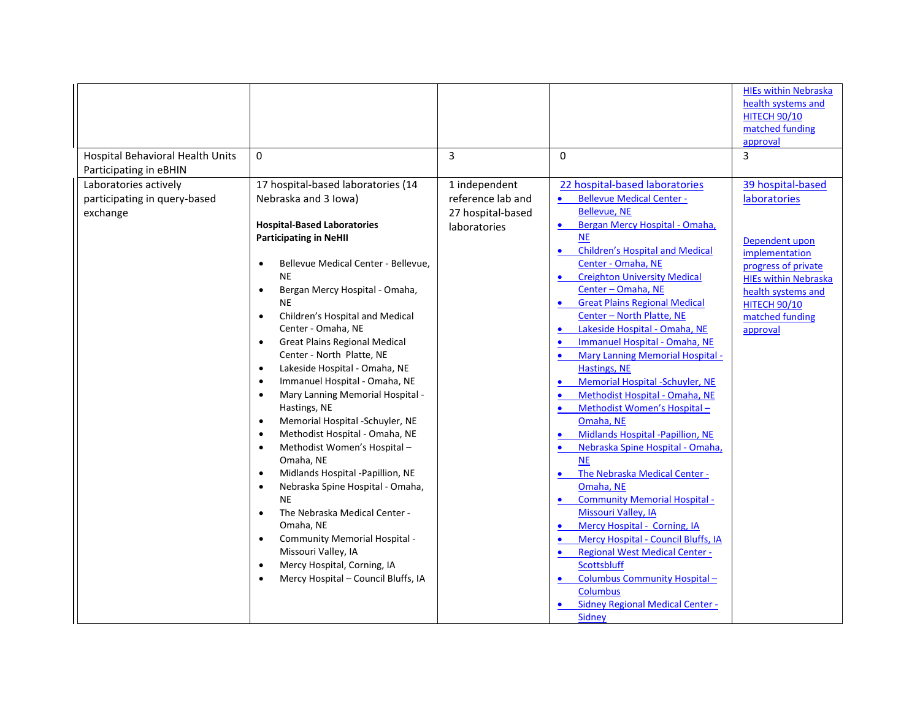| Hospital Behavioral Health Units<br>Participating in eBHIN        | $\mathbf 0$                                                                                                                                                                                                                                                                                                                                                                                                                                                                                                                                                                                                                                                                                                                                                                                                                                                                                                                                                                                                                                                                                | 3                                                                       | $\Omega$                                                                                                                                                                                                                                                                                                                                                                                                                                                                                                                                                                                                                                                                                                                                                                                                                                                                                                                                                                                                                                                                        | <b>HIEs within Nebraska</b><br>health systems and<br><b>HITECH 90/10</b><br>matched funding<br>approval<br>3                                                                                                   |
|-------------------------------------------------------------------|--------------------------------------------------------------------------------------------------------------------------------------------------------------------------------------------------------------------------------------------------------------------------------------------------------------------------------------------------------------------------------------------------------------------------------------------------------------------------------------------------------------------------------------------------------------------------------------------------------------------------------------------------------------------------------------------------------------------------------------------------------------------------------------------------------------------------------------------------------------------------------------------------------------------------------------------------------------------------------------------------------------------------------------------------------------------------------------------|-------------------------------------------------------------------------|---------------------------------------------------------------------------------------------------------------------------------------------------------------------------------------------------------------------------------------------------------------------------------------------------------------------------------------------------------------------------------------------------------------------------------------------------------------------------------------------------------------------------------------------------------------------------------------------------------------------------------------------------------------------------------------------------------------------------------------------------------------------------------------------------------------------------------------------------------------------------------------------------------------------------------------------------------------------------------------------------------------------------------------------------------------------------------|----------------------------------------------------------------------------------------------------------------------------------------------------------------------------------------------------------------|
| Laboratories actively<br>participating in query-based<br>exchange | 17 hospital-based laboratories (14<br>Nebraska and 3 Iowa)<br><b>Hospital-Based Laboratories</b><br><b>Participating in NeHII</b><br>Bellevue Medical Center - Bellevue,<br>$\bullet$<br><b>NE</b><br>Bergan Mercy Hospital - Omaha,<br>$\bullet$<br><b>NE</b><br>Children's Hospital and Medical<br>$\bullet$<br>Center - Omaha, NE<br><b>Great Plains Regional Medical</b><br>$\bullet$<br>Center - North Platte, NE<br>Lakeside Hospital - Omaha, NE<br>$\bullet$<br>Immanuel Hospital - Omaha, NE<br>$\bullet$<br>Mary Lanning Memorial Hospital -<br>$\bullet$<br>Hastings, NE<br>Memorial Hospital -Schuyler, NE<br>$\bullet$<br>Methodist Hospital - Omaha, NE<br>$\bullet$<br>Methodist Women's Hospital-<br>$\bullet$<br>Omaha, NE<br>Midlands Hospital -Papillion, NE<br>$\bullet$<br>Nebraska Spine Hospital - Omaha,<br>$\bullet$<br><b>NE</b><br>The Nebraska Medical Center -<br>$\bullet$<br>Omaha, NE<br>Community Memorial Hospital -<br>$\bullet$<br>Missouri Valley, IA<br>Mercy Hospital, Corning, IA<br>$\bullet$<br>Mercy Hospital - Council Bluffs, IA<br>$\bullet$ | 1 independent<br>reference lab and<br>27 hospital-based<br>laboratories | 22 hospital-based laboratories<br><b>Bellevue Medical Center -</b><br><b>Bellevue, NE</b><br>Bergan Mercy Hospital - Omaha,<br>$\bullet$<br><b>NE</b><br><b>Children's Hospital and Medical</b><br>$\bullet$<br>Center - Omaha, NE<br><b>Creighton University Medical</b><br>Center - Omaha, NE<br><b>Great Plains Regional Medical</b><br>Center - North Platte, NE<br>Lakeside Hospital - Omaha, NE<br>Immanuel Hospital - Omaha, NE<br><b>Mary Lanning Memorial Hospital -</b><br><b>Hastings, NE</b><br>Memorial Hospital -Schuyler, NE<br>$\bullet$<br>Methodist Hospital - Omaha, NE<br>Methodist Women's Hospital-<br>Omaha, NE<br>Midlands Hospital -Papillion, NE<br>Nebraska Spine Hospital - Omaha,<br><b>NE</b><br>The Nebraska Medical Center -<br>Omaha, NE<br><b>Community Memorial Hospital -</b><br>Missouri Valley, IA<br>Mercy Hospital - Corning, IA<br>Mercy Hospital - Council Bluffs, IA<br><b>Regional West Medical Center -</b><br>Scottsbluff<br>Columbus Community Hospital-<br><b>Columbus</b><br><b>Sidney Regional Medical Center -</b><br>Sidney | 39 hospital-based<br><b>laboratories</b><br>Dependent upon<br>implementation<br>progress of private<br><b>HIEs within Nebraska</b><br>health systems and<br><b>НІТЕСН 90/10</b><br>matched funding<br>approval |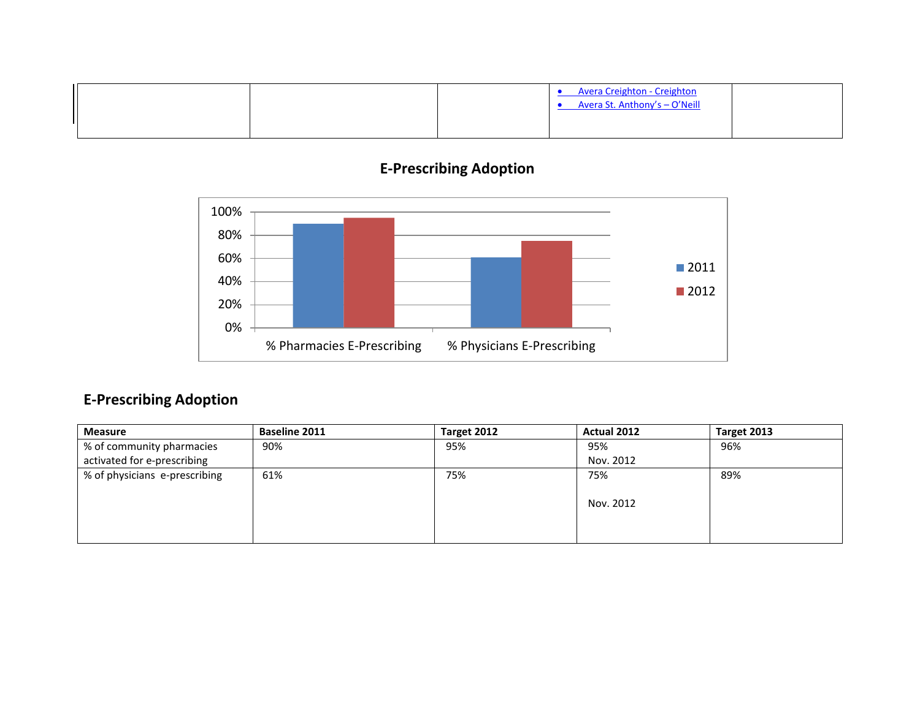|  | • Avera Creighton - Creighton<br>Avera St. Anthony's - O'Neill |  |
|--|----------------------------------------------------------------|--|
|  |                                                                |  |

# **E-Prescribing Adoption**



## **E-Prescribing Adoption**

| <b>Measure</b>                | <b>Baseline 2011</b> | Target 2012 | <b>Actual 2012</b> | Target 2013 |
|-------------------------------|----------------------|-------------|--------------------|-------------|
| % of community pharmacies     | 90%                  | 95%         | 95%                | 96%         |
| activated for e-prescribing   |                      |             | Nov. 2012          |             |
| % of physicians e-prescribing | 61%                  | 75%         | 75%                | 89%         |
|                               |                      |             |                    |             |
|                               |                      |             | Nov. 2012          |             |
|                               |                      |             |                    |             |
|                               |                      |             |                    |             |